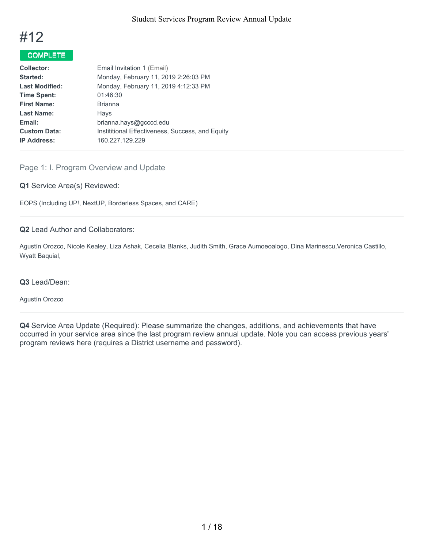

# COMPLETE

| Collector:            | Email Invitation 1 (Email)                       |
|-----------------------|--------------------------------------------------|
| Started:              | Monday, February 11, 2019 2:26:03 PM             |
| <b>Last Modified:</b> | Monday, February 11, 2019 4:12:33 PM             |
| <b>Time Spent:</b>    | 01:46:30                                         |
| <b>First Name:</b>    | <b>Brianna</b>                                   |
| <b>Last Name:</b>     | Hays                                             |
| Email:                | brianna.hays@gcccd.edu                           |
| <b>Custom Data:</b>   | Instititional Effectiveness, Success, and Equity |
| <b>IP Address:</b>    | 160.227.129.229                                  |
|                       |                                                  |

# Page 1: I. Program Overview and Update

### **Q1** Service Area(s) Reviewed:

EOPS (Including UP!, NextUP, Borderless Spaces, and CARE)

## **Q2** Lead Author and Collaborators:

Agustín Orozco, Nicole Kealey, Liza Ashak, Cecelia Blanks, Judith Smith, Grace Aumoeoalogo, Dina Marinescu,Veronica Castillo, Wyatt Baquial,

### **Q3** Lead/Dean:

#### Agustín Orozco

**Q4** Service Area Update (Required): Please summarize the changes, additions, and achievements that have occurred in your service area since the last program review annual update. Note you can access previous years' program reviews here (requires a District username and password).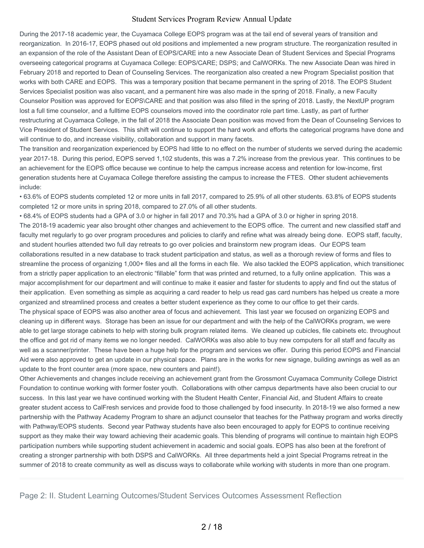During the 2017-18 academic year, the Cuyamaca College EOPS program was at the tail end of several years of transition and reorganization. In 2016-17, EOPS phased out old positions and implemented a new program structure. The reorganization resulted in an expansion of the role of the Assistant Dean of EOPS/CARE into a new Associate Dean of Student Services and Special Programs overseeing categorical programs at Cuyamaca College: EOPS/CARE; DSPS; and CalWORKs. The new Associate Dean was hired in February 2018 and reported to Dean of Counseling Services. The reorganization also created a new Program Specialist position that works with both CARE and EOPS. This was a temporary position that became permanent in the spring of 2018. The EOPS Student Services Specialist position was also vacant, and a permanent hire was also made in the spring of 2018. Finally, a new Faculty Counselor Position was approved for EOPS\CARE and that position was also filled in the spring of 2018. Lastly, the NextUP program lost a full time counselor, and a fulltime EOPS counselors moved into the coordinator role part time. Lastly, as part of further restructuring at Cuyamaca College, in the fall of 2018 the Associate Dean position was moved from the Dean of Counseling Services to Vice President of Student Services. This shift will continue to support the hard work and efforts the categorical programs have done and will continue to do, and increase visibility, collaboration and support in many facets.

The transition and reorganization experienced by EOPS had little to no effect on the number of students we served during the academic year 2017-18. During this period, EOPS served 1,102 students, this was a 7.2% increase from the previous year. This continues to be an achievement for the EOPS office because we continue to help the campus increase access and retention for low-income, first generation students here at Cuyamaca College therefore assisting the campus to increase the FTES. Other student achievements include:

• 63.6% of EOPS students completed 12 or more units in fall 2017, compared to 25.9% of all other students. 63.8% of EOPS students completed 12 or more units in spring 2018, compared to 27.0% of all other students.

• 68.4% of EOPS students had a GPA of 3.0 or higher in fall 2017 and 70.3% had a GPA of 3.0 or higher in spring 2018. The 2018-19 academic year also brought other changes and achievement to the EOPS office. The current and new classified staff and faculty met regularly to go over program procedures and policies to clarify and refine what was already being done. EOPS staff, faculty, and student hourlies attended two full day retreats to go over policies and brainstorm new program ideas. Our EOPS team collaborations resulted in a new database to track student participation and status, as well as a thorough review of forms and files to streamline the process of organizing 1,000+ files and all the forms in each file. We also tackled the EOPS application, which transitionec from a strictly paper application to an electronic "fillable" form that was printed and returned, to a fully online application. This was a major accomplishment for our department and will continue to make it easier and faster for students to apply and find out the status of their application. Even something as simple as acquiring a card reader to help us read gas card numbers has helped us create a more organized and streamlined process and creates a better student experience as they come to our office to get their cards.

The physical space of EOPS was also another area of focus and achievement. This last year we focused on organizing EOPS and cleaning up in different ways. Storage has been an issue for our department and with the help of the CalWORKs program, we were able to get large storage cabinets to help with storing bulk program related items. We cleaned up cubicles, file cabinets etc. throughout the office and got rid of many items we no longer needed. CalWORKs was also able to buy new computers for all staff and faculty as well as a scanner/printer. These have been a huge help for the program and services we offer. During this period EOPS and Financial Aid were also approved to get an update in our physical space. Plans are in the works for new signage, building awnings as well as an update to the front counter area (more space, new counters and paint!).

Other Achievements and changes include receiving an achievement grant from the Grossmont Cuyamaca Community College District Foundation to continue working with former foster youth. Collaborations with other campus departments have also been crucial to our success. In this last year we have continued working with the Student Health Center, Financial Aid, and Student Affairs to create greater student access to CalFresh services and provide food to those challenged by food insecurity. In 2018-19 we also formed a new partnership with the Pathway Academy Program to share an adjunct counselor that teaches for the Pathway program and works directly with Pathway/EOPS students. Second year Pathway students have also been encouraged to apply for EOPS to continue receiving support as they make their way toward achieving their academic goals. This blending of programs will continue to maintain high EOPS participation numbers while supporting student achievement in academic and social goals. EOPS has also been at the forefront of creating a stronger partnership with both DSPS and CalWORKs. All three departments held a joint Special Programs retreat in the summer of 2018 to create community as well as discuss ways to collaborate while working with students in more than one program.

Page 2: II. Student Learning Outcomes/Student Services Outcomes Assessment Reflection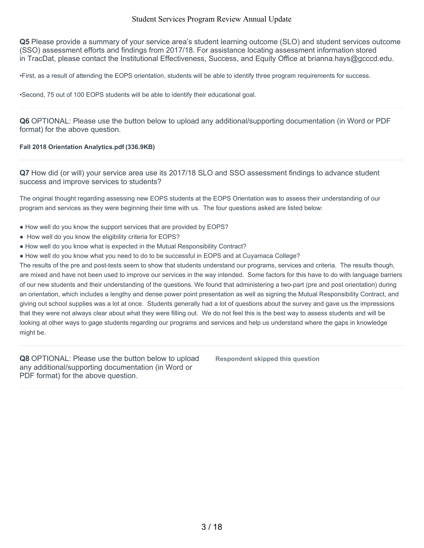**Q5** Please provide a summary of your service area's student learning outcome (SLO) and student services outcome (SSO) assessment efforts and findings from 2017/18. For assistance locating assessment information stored in TracDat, please contact the Institutional Effectiveness, Success, and Equity Office at brianna.hays@gcccd.edu.

•First, as a result of attending the EOPS orientation, students will be able to identify three program requirements for success.

•Second, 75 out of 100 EOPS students will be able to identify their educational goal.

**Q6** OPTIONAL: Please use the button below to upload any additional/supporting documentation (in Word or PDF format) for the above question.

#### **Fall 2018 Orientation Analytics.pdf (336.9KB)**

**Q7** How did (or will) your service area use its 2017/18 SLO and SSO assessment findings to advance student success and improve services to students?

The original thought regarding assessing new EOPS students at the EOPS Orientation was to assess their understanding of our program and services as they were beginning their time with us. The four questions asked are listed below:

- How well do you know the support services that are provided by EOPS?
- How well do you know the eligibility criteria for EOPS?
- How well do you know what is expected in the Mutual Responsibility Contract?
- How well do you know what you need to do to be successful in EOPS and at Cuyamaca College?

The results of the pre and post-tests seem to show that students understand our programs, services and criteria. The results though, are mixed and have not been used to improve our services in the way intended. Some factors for this have to do with language barriers of our new students and their understanding of the questions. We found that administering a two-part (pre and post orientation) during an orientation, which includes a lengthy and dense power point presentation as well as signing the Mutual Responsibility Contract, and giving out school supplies was a lot at once. Students generally had a lot of questions about the survey and gave us the impressions that they were not always clear about what they were filling out. We do not feel this is the best way to assess students and will be looking at other ways to gage students regarding our programs and services and help us understand where the gaps in knowledge might be.

**Q8** OPTIONAL: Please use the button below to upload any additional/supporting documentation (in Word or PDF format) for the above question.

**Respondent skipped this question**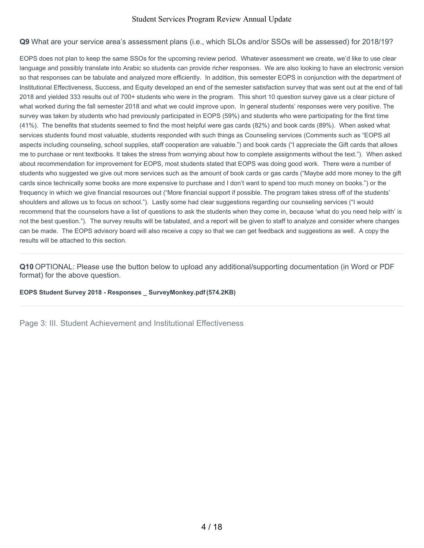### **Q9** What are your service area's assessment plans (i.e., which SLOs and/or SSOs will be assessed) for 2018/19?

EOPS does not plan to keep the same SSOs for the upcoming review period. Whatever assessment we create, we'd like to use clear language and possibly translate into Arabic so students can provide richer responses. We are also looking to have an electronic version so that responses can be tabulate and analyzed more efficiently. In addition, this semester EOPS in conjunction with the department of Institutional Effectiveness, Success, and Equity developed an end of the semester satisfaction survey that was sent out at the end of fall 2018 and yielded 333 results out of 700+ students who were in the program. This short 10 question survey gave us a clear picture of what worked during the fall semester 2018 and what we could improve upon. In general students' responses were very positive. The survey was taken by students who had previously participated in EOPS (59%) and students who were participating for the first time (41%). The benefits that students seemed to find the most helpful were gas cards (82%) and book cards (89%). When asked what services students found most valuable, students responded with such things as Counseling services (Comments such as "EOPS all aspects including counseling, school supplies, staff cooperation are valuable.") and book cards ("I appreciate the Gift cards that allows me to purchase or rent textbooks. It takes the stress from worrying about how to complete assignments without the text."). When asked about recommendation for improvement for EOPS, most students stated that EOPS was doing good work. There were a number of students who suggested we give out more services such as the amount of book cards or gas cards ("Maybe add more money to the gift cards since technically some books are more expensive to purchase and I don't want to spend too much money on books.") or the frequency in which we give financial resources out ("More financial support if possible. The program takes stress off of the students' shoulders and allows us to focus on school."). Lastly some had clear suggestions regarding our counseling services ("I would recommend that the counselors have a list of questions to ask the students when they come in, because 'what do you need help with' is not the best question."). The survey results will be tabulated, and a report will be given to staff to analyze and consider where changes can be made. The EOPS advisory board will also receive a copy so that we can get feedback and suggestions as well. A copy the results will be attached to this section.

**Q10** OPTIONAL: Please use the button below to upload any additional/supporting documentation (in Word or PDF format) for the above question.

**EOPS Student Survey 2018 - Responses \_ SurveyMonkey.pdf(574.2KB)**

Page 3: III. Student Achievement and Institutional Effectiveness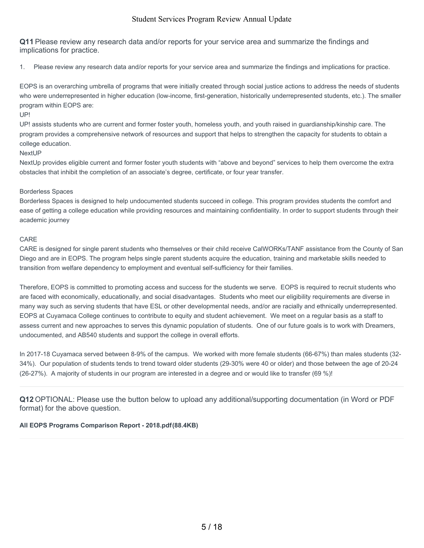**Q11** Please review any research data and/or reports for your service area and summarize the findings and implications for practice.

1. Please review any research data and/or reports for your service area and summarize the findings and implications for practice.

EOPS is an overarching umbrella of programs that were initially created through social justice actions to address the needs of students who were underrepresented in higher education (low-income, first-generation, historically underrepresented students, etc.). The smaller program within EOPS are:

#### UP!

UP! assists students who are current and former foster youth, homeless youth, and youth raised in guardianship/kinship care. The program provides a comprehensive network of resources and support that helps to strengthen the capacity for students to obtain a college education.

#### NextUP

NextUp provides eligible current and former foster youth students with "above and beyond" services to help them overcome the extra obstacles that inhibit the completion of an associate's degree, certificate, or four year transfer.

#### Borderless Spaces

Borderless Spaces is designed to help undocumented students succeed in college. This program provides students the comfort and ease of getting a college education while providing resources and maintaining confidentiality. In order to support students through their academic journey

### CARE

CARE is designed for single parent students who themselves or their child receive CalWORKs/TANF assistance from the County of San Diego and are in EOPS. The program helps single parent students acquire the education, training and marketable skills needed to transition from welfare dependency to employment and eventual self-sufficiency for their families.

Therefore, EOPS is committed to promoting access and success for the students we serve. EOPS is required to recruit students who are faced with economically, educationally, and social disadvantages. Students who meet our eligibility requirements are diverse in many way such as serving students that have ESL or other developmental needs, and/or are racially and ethnically underrepresented. EOPS at Cuyamaca College continues to contribute to equity and student achievement. We meet on a regular basis as a staff to assess current and new approaches to serves this dynamic population of students. One of our future goals is to work with Dreamers, undocumented, and AB540 students and support the college in overall efforts.

In 2017-18 Cuyamaca served between 8-9% of the campus. We worked with more female students (66-67%) than males students (32- 34%). Our population of students tends to trend toward older students (29-30% were 40 or older) and those between the age of 20-24 (26-27%). A majority of students in our program are interested in a degree and or would like to transfer (69 %)!

**Q12** OPTIONAL: Please use the button below to upload any additional/supporting documentation (in Word or PDF format) for the above question.

### **All EOPS Programs Comparison Report - 2018.pdf(88.4KB)**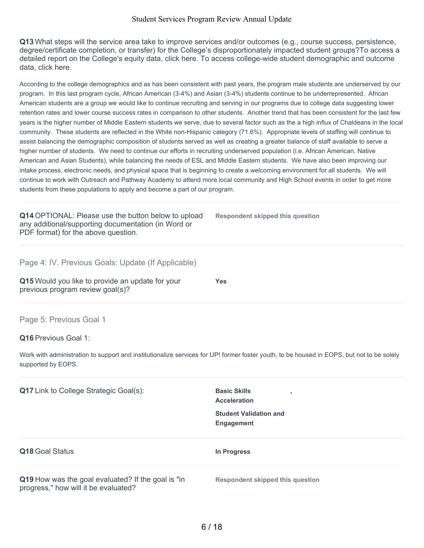**Q13** What steps will the service area take to improve services and/or outcomes (e.g., course success, persistence, degree/certificate completion, or transfer) for the College's disproportionately impacted student groups?To access a detailed report on the College's equity data, click here. To access college-wide student demographic and outcome data, click here.

According to the college demographics and as has been consistent with past years, the program male students are underserved by our program. In this last program cycle, African American (3-4%) and Asian (3-4%) students continue to be underrepresented. African American students are a group we would like to continue recruiting and serving in our programs due to college data suggesting lower retention rates and lower course success rates in comparison to other students. Another trend that has been consistent for the last few years is the higher number of Middle Eastern students we serve, due to several factor such as the a high influx of Chaldeans in the local community. These students are reflected in the White non-Hispanic category (71.6%). Appropriate levels of staffing will continue to assist balancing the demographic composition of students served as well as creating a greater balance of staff available to serve a higher number of students. We need to continue our efforts in recruiting underserved population (i.e. African American, Native American and Asian Students), while balancing the needs of ESL and Middle Eastern students. We have also been improving our intake process, electronic needs, and physical space that is beginning to create a welcoming environment for all students. We will continue to work with Outreach and Pathway Academy to attend more local community and High School events in order to get more students from these populations to apply and become a part of our program.

**Q14** OPTIONAL: Please use the button below to upload any additional/supporting documentation (in Word or PDF format) for the above question.

**Respondent skipped this question**

Page 4: IV. Previous Goals: Update (If Applicable)

**Q15** Would you like to provide an update for your previous program review goal(s)?

**Yes**

## Page 5: Previous Goal 1

### **Q16** Previous Goal 1:

Work with administration to support and institutionalize services for UP! former foster youth, to be housed in EOPS, but not to be solely supported by EOPS.

| <b>Q17</b> Link to College Strategic Goal(s):                                              | <b>Basic Skills</b><br><b>Acceleration</b><br><b>Student Validation and</b><br><b>Engagement</b> |
|--------------------------------------------------------------------------------------------|--------------------------------------------------------------------------------------------------|
| <b>Q18 Goal Status</b>                                                                     | In Progress                                                                                      |
| Q19 How was the goal evaluated? If the goal is "in<br>progress," how will it be evaluated? | <b>Respondent skipped this question</b>                                                          |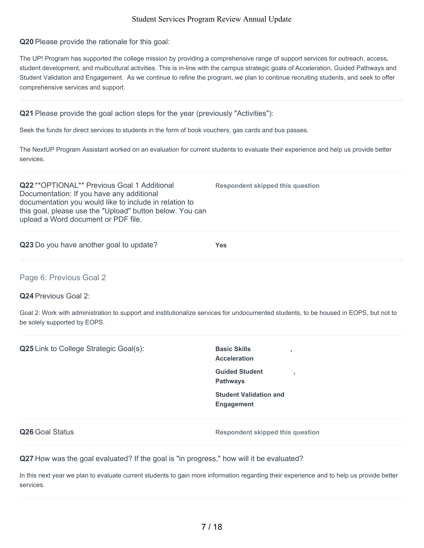**Q20** Please provide the rationale for this goal:

The UP! Program has supported the college mission by providing a comprehensive range of support services for outreach, access, student development, and multicultural activities. This is in-line with the campus strategic goals of Acceleration, Guided Pathways and Student Validation and Engagement. As we continue to refine the program, we plan to continue recruiting students, and seek to offer comprehensive services and support.

### **Q21** Please provide the goal action steps for the year (previously "Activities"):

Seek the funds for direct services to students in the form of book vouchers, gas cards and bus passes.

The NextUP Program Assistant worked on an evaluation for current students to evaluate their experience and help us provide better services.

**Q22** \*\*OPTIONAL\*\* Previous Goal 1 Additional Documentation: If you have any additional documentation you would like to include in relation to this goal, please use the "Upload" button below. You can upload a Word document or PDF file.

**Q23** Do you have another goal to update? **Yes**

Page 6: Previous Goal 2

**Q24** Previous Goal 2:

Goal 2: Work with administration to support and institutionalize services for undocumented students, to be housed in EOPS, but not to be solely supported by EOPS.

| Q25 Link to College Strategic Goal(s):                                                  | <b>Basic Skills</b><br>п,<br><b>Acceleration</b><br><b>Guided Student</b><br>$\overline{\phantom{a}}$<br><b>Pathways</b><br><b>Student Validation and</b><br><b>Engagement</b> |
|-----------------------------------------------------------------------------------------|--------------------------------------------------------------------------------------------------------------------------------------------------------------------------------|
| Q26 Goal Status                                                                         | <b>Respondent skipped this question</b>                                                                                                                                        |
| Q27 How was the goal evaluated? If the goal is "in progress," how will it be evaluated? |                                                                                                                                                                                |

In this next year we plan to evaluate current students to gain more information regarding their experience and to help us provide better services.

**Respondent skipped this question**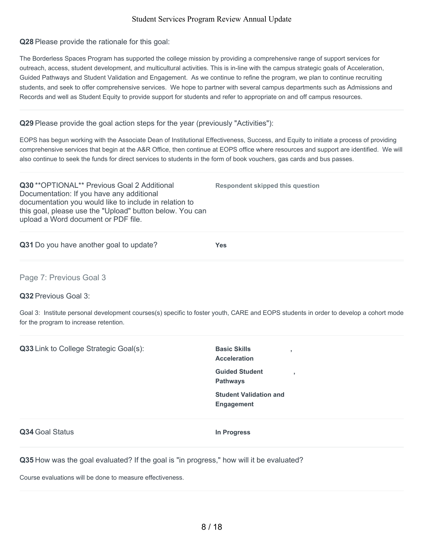**Q28** Please provide the rationale for this goal:

The Borderless Spaces Program has supported the college mission by providing a comprehensive range of support services for outreach, access, student development, and multicultural activities. This is in-line with the campus strategic goals of Acceleration, Guided Pathways and Student Validation and Engagement. As we continue to refine the program, we plan to continue recruiting students, and seek to offer comprehensive services. We hope to partner with several campus departments such as Admissions and Records and well as Student Equity to provide support for students and refer to appropriate on and off campus resources.

## **Q29** Please provide the goal action steps for the year (previously "Activities"):

EOPS has begun working with the Associate Dean of Institutional Effectiveness, Success, and Equity to initiate a process of providing comprehensive services that begin at the A&R Office, then continue at EOPS office where resources and support are identified. We will also continue to seek the funds for direct services to students in the form of book vouchers, gas cards and bus passes.

**Respondent skipped this question**

**Q30** \*\*OPTIONAL\*\* Previous Goal 2 Additional Documentation: If you have any additional documentation you would like to include in relation to this goal, please use the "Upload" button below. You can upload a Word document or PDF file.

**Q31** Do you have another goal to update? **Yes**

Page 7: Previous Goal 3

**Q32** Previous Goal 3:

Goal 3: Institute personal development courses(s) specific to foster youth, CARE and EOPS students in order to develop a cohort mode for the program to increase retention.

| Q33 Link to College Strategic Goal(s):                                                  | <b>Basic Skills</b><br>٠<br><b>Acceleration</b>    |  |
|-----------------------------------------------------------------------------------------|----------------------------------------------------|--|
|                                                                                         | <b>Guided Student</b><br>٠<br><b>Pathways</b>      |  |
|                                                                                         | <b>Student Validation and</b><br><b>Engagement</b> |  |
| Q34 Goal Status                                                                         | In Progress                                        |  |
| Q35 How was the goal evaluated? If the goal is "in progress," how will it be evaluated? |                                                    |  |
| Course evaluations will be done to measure effectiveness.                               |                                                    |  |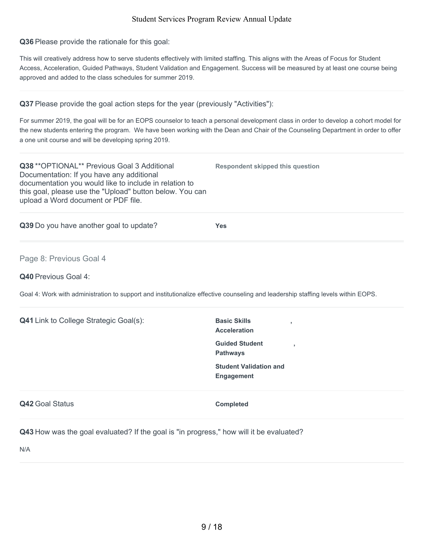**Q36** Please provide the rationale for this goal:

This will creatively address how to serve students effectively with limited staffing. This aligns with the Areas of Focus for Student Access, Acceleration, Guided Pathways, Student Validation and Engagement. Success will be measured by at least one course being approved and added to the class schedules for summer 2019.

**Q37** Please provide the goal action steps for the year (previously "Activities"):

For summer 2019, the goal will be for an EOPS counselor to teach a personal development class in order to develop a cohort model for the new students entering the program. We have been working with the Dean and Chair of the Counseling Department in order to offer a one unit course and will be developing spring 2019.

**Respondent skipped this question**

**Q38** \*\*OPTIONAL\*\* Previous Goal 3 Additional Documentation: If you have any additional documentation you would like to include in relation to this goal, please use the "Upload" button below. You can upload a Word document or PDF file.

**Q39** Do you have another goal to update? **Yes**

Page 8: Previous Goal 4

**Q40** Previous Goal 4:

Goal 4: Work with administration to support and institutionalize effective counseling and leadership staffing levels within EOPS.

| <b>Q41</b> Link to College Strategic Goal(s): | <b>Basic Skills</b><br>$\overline{\phantom{a}}$<br><b>Acceleration</b> |
|-----------------------------------------------|------------------------------------------------------------------------|
|                                               | <b>Guided Student</b><br>$\overline{\phantom{a}}$<br><b>Pathways</b>   |
|                                               | <b>Student Validation and</b><br><b>Engagement</b>                     |
| Q42 Goal Status                               | <b>Completed</b>                                                       |
|                                               |                                                                        |

**Q43** How was the goal evaluated? If the goal is "in progress," how will it be evaluated?

N/A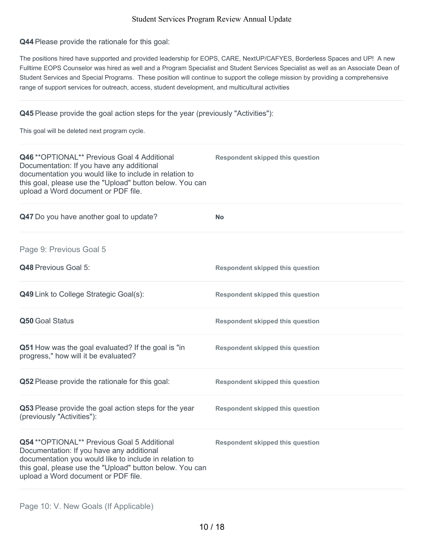**Q44** Please provide the rationale for this goal:

The positions hired have supported and provided leadership for EOPS, CARE, NextUP/CAFYES, Borderless Spaces and UP! A new Fulltime EOPS Counselor was hired as well and a Program Specialist and Student Services Specialist as well as an Associate Dean of Student Services and Special Programs. These position will continue to support the college mission by providing a comprehensive range of support services for outreach, access, student development, and multicultural activities

# **Q45** Please provide the goal action steps for the year (previously "Activities"):

This goal will be deleted next program cycle.

| Q46 ** OPTIONAL** Previous Goal 4 Additional<br>Documentation: If you have any additional<br>documentation you would like to include in relation to<br>this goal, please use the "Upload" button below. You can<br>upload a Word document or PDF file. | <b>Respondent skipped this question</b> |
|--------------------------------------------------------------------------------------------------------------------------------------------------------------------------------------------------------------------------------------------------------|-----------------------------------------|
| Q47 Do you have another goal to update?                                                                                                                                                                                                                | No                                      |
| Page 9: Previous Goal 5                                                                                                                                                                                                                                |                                         |
| Q48 Previous Goal 5:                                                                                                                                                                                                                                   | <b>Respondent skipped this question</b> |
| Q49 Link to College Strategic Goal(s):                                                                                                                                                                                                                 | <b>Respondent skipped this question</b> |
| Q50 Goal Status                                                                                                                                                                                                                                        | <b>Respondent skipped this question</b> |
| Q51 How was the goal evaluated? If the goal is "in<br>progress," how will it be evaluated?                                                                                                                                                             | <b>Respondent skipped this question</b> |
| Q52 Please provide the rationale for this goal:                                                                                                                                                                                                        | <b>Respondent skipped this question</b> |
| Q53 Please provide the goal action steps for the year<br>(previously "Activities"):                                                                                                                                                                    | <b>Respondent skipped this question</b> |
| Q54 ** OPTIONAL** Previous Goal 5 Additional<br>Documentation: If you have any additional<br>documentation you would like to include in relation to<br>this goal, please use the "Upload" button below. You can<br>upload a Word document or PDF file. | <b>Respondent skipped this question</b> |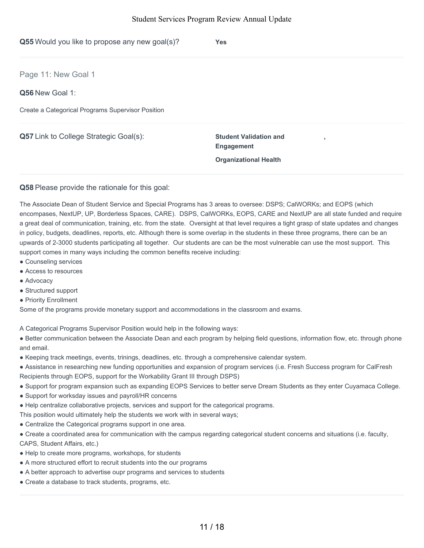| Q55 Would you like to propose any new goal(s)?    | <b>Yes</b>                                                                                                     |
|---------------------------------------------------|----------------------------------------------------------------------------------------------------------------|
| Page 11: New Goal 1                               |                                                                                                                |
| Q56 New Goal 1:                                   |                                                                                                                |
| Create a Categorical Programs Supervisor Position |                                                                                                                |
| <b>Q57</b> Link to College Strategic Goal(s):     | <b>Student Validation and</b><br>$\overline{\phantom{a}}$<br><b>Engagement</b><br><b>Organizational Health</b> |
|                                                   |                                                                                                                |

#### **Q58** Please provide the rationale for this goal:

The Associate Dean of Student Service and Special Programs has 3 areas to oversee: DSPS; CalWORKs; and EOPS (which encompases, NextUP, UP, Borderless Spaces, CARE). DSPS, CalWORKs, EOPS, CARE and NextUP are all state funded and require a great deal of communication, training, etc. from the state. Oversight at that level requires a tight grasp of state updates and changes in policy, budgets, deadlines, reports, etc. Although there is some overlap in the students in these three programs, there can be an upwards of 2-3000 students participating all together. Our students are can be the most vulnerable can use the most support. This support comes in many ways including the common benefits receive including:

- Counseling services
- Access to resources
- Advocacy
- Structured support
- Priority Enrollment

Some of the programs provide monetary support and accommodations in the classroom and exams.

A Categorical Programs Supervisor Position would help in the following ways:

● Better communication between the Associate Dean and each program by helping field questions, information flow, etc. through phone and email.

- Keeping track meetings, events, trinings, deadlines, etc. through a comprehensive calendar system.
- Assistance in researching new funding opportunities and expansion of program services (i.e. Fresh Success program for CalFresh Recipients through EOPS, support for the Workability Grant III through DSPS)
- Support for program expansion such as expanding EOPS Services to better serve Dream Students as they enter Cuyamaca College.
- Support for worksday issues and payroll/HR concerns
- Help centralize collaborative projects, services and support for the categorical programs.

This position would ultimately help the students we work with in several ways;

- Centralize the Categorical programs support in one area.
- Create a coordinated area for communication with the campus regarding categorical student concerns and situations (i.e. faculty,

CAPS, Student Affairs, etc.)

- Help to create more programs, workshops, for students
- A more structured effort to recruit students into the our programs
- A better approach to advertise oupr programs and services to students
- Create a database to track students, programs, etc.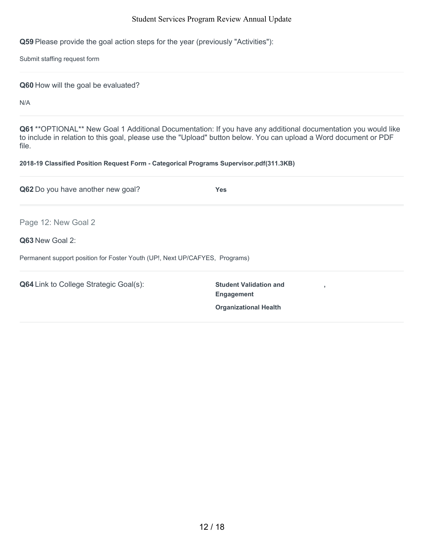**Q59** Please provide the goal action steps for the year (previously "Activities"):

Submit staffing request form

**Q60** How will the goal be evaluated?

N/A

**Q61** \*\*OPTIONAL\*\* New Goal 1 Additional Documentation: If you have any additional documentation you would like to include in relation to this goal, please use the "Upload" button below. You can upload a Word document or PDF file.

### **2018-19 Classified Position Request Form - Categorical Programs Supervisor.pdf(311.3KB)**

| Q62 Do you have another new goal?                                           | <b>Yes</b>                                              |
|-----------------------------------------------------------------------------|---------------------------------------------------------|
| Page 12: New Goal 2                                                         |                                                         |
| Q63 New Goal 2:                                                             |                                                         |
| Permanent support position for Foster Youth (UP!, Next UP/CAFYES, Programs) |                                                         |
| <b>Q64</b> Link to College Strategic Goal(s):                               | <b>Student Validation and</b><br>×<br><b>Engagement</b> |
|                                                                             | <b>Organizational Health</b>                            |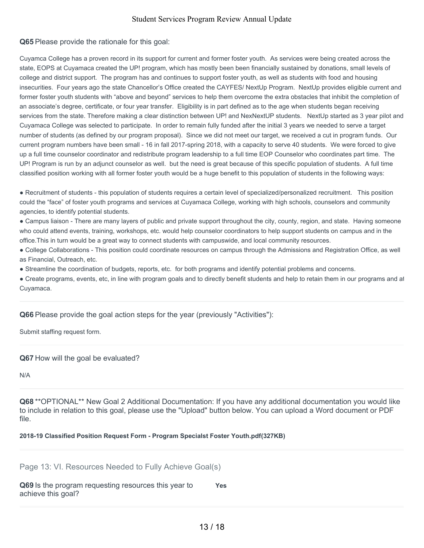## **Q65** Please provide the rationale for this goal:

Cuyamca College has a proven record in its support for current and former foster youth. As services were being created across the state, EOPS at Cuyamaca created the UP! program, which has mostly been been financially sustained by donations, small levels of college and district support. The program has and continues to support foster youth, as well as students with food and housing insecurities. Four years ago the state Chancellor's Office created the CAYFES/ NextUp Program. NextUp provides eligible current and former foster youth students with "above and beyond" services to help them overcome the extra obstacles that inhibit the completion of an associate's degree, certificate, or four year transfer. Eligibility is in part defined as to the age when students began receiving services from the state. Therefore making a clear distinction between UP! and NexNextUP students. NextUp started as 3 year pilot and Cuyamaca College was selected to participate. In order to remain fully funded after the initial 3 years we needed to serve a target number of students (as defined by our program proposal). Since we did not meet our target, we received a cut in program funds. Our current program numbers have been small - 16 in fall 2017-spring 2018, with a capacity to serve 40 students. We were forced to give up a full time counselor coordinator and redistribute program leadership to a full time EOP Counselor who coordinates part time. The UP! Program is run by an adjunct counselor as well. but the need is great because of this specific population of students. A full time classified position working with all former foster youth would be a huge benefit to this population of students in the following ways:

● Recruitment of students - this population of students requires a certain level of specialized/personalized recruitment. This position could the "face" of foster youth programs and services at Cuyamaca College, working with high schools, counselors and community agencies, to identify potential students.

• Campus liaison - There are many layers of public and private support throughout the city, county, region, and state. Having someone who could attend events, training, workshops, etc. would help counselor coordinators to help support students on campus and in the office.This in turn would be a great way to connect students with campuswide, and local community resources.

● College Collaborations - This position could coordinate resources on campus through the Admissions and Registration Office, as well as Financial, Outreach, etc.

● Streamline the coordination of budgets, reports, etc. for both programs and identify potential problems and concerns.

• Create programs, events, etc, in line with program goals and to directly benefit students and help to retain them in our programs and at Cuyamaca.

### **Q66** Please provide the goal action steps for the year (previously "Activities"):

Submit staffing request form.

### **Q67** How will the goal be evaluated?

N/A

**Q68** \*\*OPTIONAL\*\* New Goal 2 Additional Documentation: If you have any additional documentation you would like to include in relation to this goal, please use the "Upload" button below. You can upload a Word document or PDF file.

#### **2018-19 Classified Position Request Form - Program Specialst Foster Youth.pdf(327KB)**

Page 13: VI. Resources Needed to Fully Achieve Goal(s)

**Q69** Is the program requesting resources this year to achieve this goal? **Yes**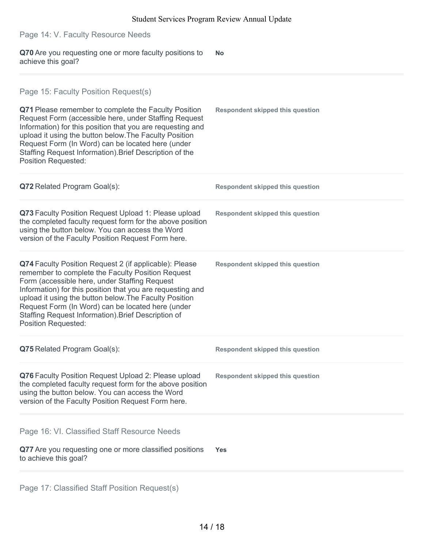**Q70** Are you requesting one or more faculty positions to achieve this goal? **No Q71** Please remember to complete the Faculty Position Request Form (accessible here, under Staffing Request Information) for this position that you are requesting and upload it using the button below.The Faculty Position Request Form (In Word) can be located here (under Staffing Request Information).Brief Description of the Position Requested: **Respondent skipped this question Q72** Related Program Goal(s): **Respondent skipped this question Q73** Faculty Position Request Upload 1: Please upload the completed faculty request form for the above position using the button below. You can access the Word version of the Faculty Position Request Form here. **Respondent skipped this question Q74** Faculty Position Request 2 (if applicable): Please remember to complete the Faculty Position Request Form (accessible here, under Staffing Request Information) for this position that you are requesting and upload it using the button below.The Faculty Position Request Form (In Word) can be located here (under Staffing Request Information).Brief Description of Position Requested: **Respondent skipped this question Q75** Related Program Goal(s): **Respondent skipped this question Q76** Faculty Position Request Upload 2: Please upload the completed faculty request form for the above position using the button below. You can access the Word version of the Faculty Position Request Form here. **Respondent skipped this question Q77** Are you requesting one or more classified positions to achieve this goal? **Yes** Page 14: V. Faculty Resource Needs Page 15: Faculty Position Request(s) Page 16: VI. Classified Staff Resource Needs

Page 17: Classified Staff Position Request(s)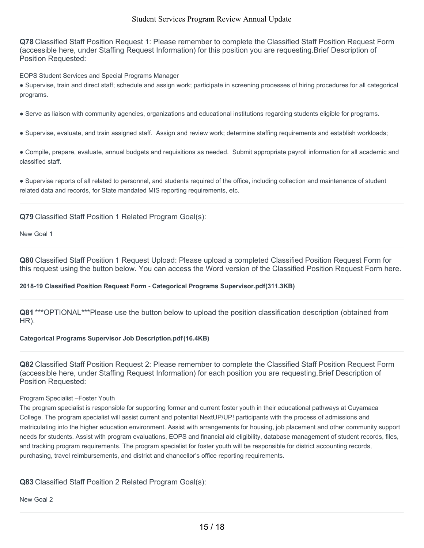**Q78** Classified Staff Position Request 1: Please remember to complete the Classified Staff Position Request Form (accessible here, under Staffing Request Information) for this position you are requesting.Brief Description of Position Requested:

EOPS Student Services and Special Programs Manager

● Supervise, train and direct staff; schedule and assign work; participate in screening processes of hiring procedures for all categorical programs.

● Serve as liaison with community agencies, organizations and educational institutions regarding students eligible for programs.

● Supervise, evaluate, and train assigned staff. Assign and review work; determine staffing requirements and establish workloads;

● Compile, prepare, evaluate, annual budgets and requisitions as needed. Submit appropriate payroll information for all academic and classified staff.

● Supervise reports of all related to personnel, and students required of the office, including collection and maintenance of student related data and records, for State mandated MIS reporting requirements, etc.

### **Q79** Classified Staff Position 1 Related Program Goal(s):

New Goal 1

**Q80** Classified Staff Position 1 Request Upload: Please upload a completed Classified Position Request Form for this request using the button below. You can access the Word version of the Classified Position Request Form here.

#### **2018-19 Classified Position Request Form - Categorical Programs Supervisor.pdf(311.3KB)**

**Q81** \*\*\*OPTIONAL\*\*\*Please use the button below to upload the position classification description (obtained from HR).

### **Categorical Programs Supervisor Job Description.pdf(16.4KB)**

**Q82** Classified Staff Position Request 2: Please remember to complete the Classified Staff Position Request Form (accessible here, under Staffing Request Information) for each position you are requesting.Brief Description of Position Requested:

#### Program Specialist –Foster Youth

The program specialist is responsible for supporting former and current foster youth in their educational pathways at Cuyamaca College. The program specialist will assist current and potential NextUP/UP! participants with the process of admissions and matriculating into the higher education environment. Assist with arrangements for housing, job placement and other community support needs for students. Assist with program evaluations, EOPS and financial aid eligibility, database management of student records, files, and tracking program requirements. The program specialist for foster youth will be responsible for district accounting records, purchasing, travel reimbursements, and district and chancellor's office reporting requirements.

**Q83** Classified Staff Position 2 Related Program Goal(s):

New Goal 2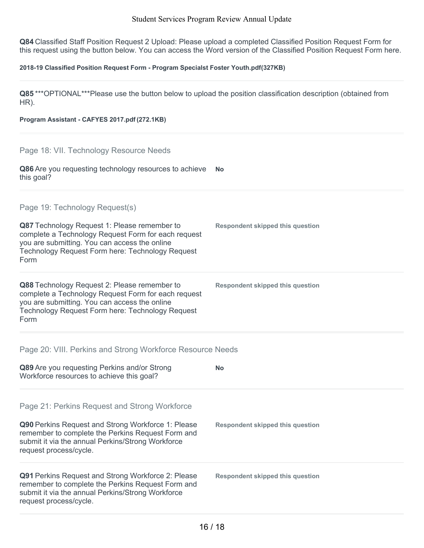**Q84** Classified Staff Position Request 2 Upload: Please upload a completed Classified Position Request Form for this request using the button below. You can access the Word version of the Classified Position Request Form here.

#### **2018-19 Classified Position Request Form - Program Specialst Foster Youth.pdf(327KB)**

**Q85** \*\*\*OPTIONAL\*\*\*Please use the button below to upload the position classification description (obtained from HR).

#### **Program Assistant - CAFYES 2017.pdf (272.1KB)**

### Page 18: VII. Technology Resource Needs

**Q86** Are you requesting technology resources to achieve **No** this goal?

# Page 19: Technology Request(s)

| Q87 Technology Request 1: Please remember to<br>complete a Technology Request Form for each request<br>you are submitting. You can access the online<br>Technology Request Form here: Technology Request<br>Form | Respondent skipped this question |
|------------------------------------------------------------------------------------------------------------------------------------------------------------------------------------------------------------------|----------------------------------|
| Q88 Technology Request 2: Please remember to<br>complete a Technology Request Form for each request                                                                                                              | Respondent skipped this question |

you are submitting. You can access the online Technology Request Form here: Technology Request Form

### Page 20: VIII. Perkins and Strong Workforce Resource Needs

### Page 21: Perkins Request and Strong Workforce

request process/cycle.

| Q90 Perkins Request and Strong Workforce 1: Please<br>remember to complete the Perkins Request Form and<br>submit it via the annual Perkins/Strong Workforce<br>request process/cycle. | <b>Respondent skipped this question</b> |
|----------------------------------------------------------------------------------------------------------------------------------------------------------------------------------------|-----------------------------------------|
| <b>Q91</b> Perkins Request and Strong Workforce 2: Please<br>remember to complete the Perkins Request Form and<br>submit it via the annual Perkins/Strong Workforce                    | Respondent skipped this question        |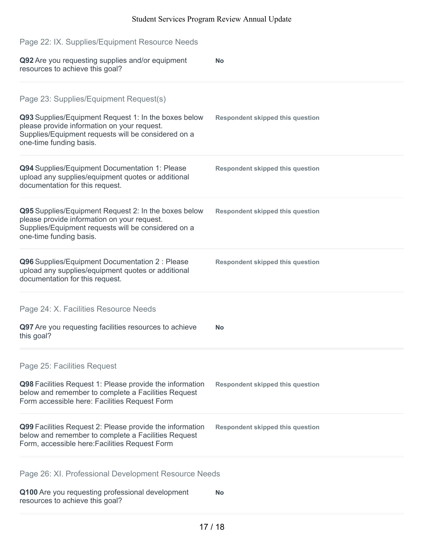| Page 22: IX. Supplies/Equipment Resource Needs                                                                                                                                                                                  |                                         |
|---------------------------------------------------------------------------------------------------------------------------------------------------------------------------------------------------------------------------------|-----------------------------------------|
| Q92 Are you requesting supplies and/or equipment<br>resources to achieve this goal?                                                                                                                                             | <b>No</b>                               |
| Page 23: Supplies/Equipment Request(s)<br>Q93 Supplies/Equipment Request 1: In the boxes below<br>please provide information on your request.<br>Supplies/Equipment requests will be considered on a<br>one-time funding basis. | <b>Respondent skipped this question</b> |
| Q94 Supplies/Equipment Documentation 1: Please<br>upload any supplies/equipment quotes or additional<br>documentation for this request.                                                                                         | <b>Respondent skipped this question</b> |
| Q95 Supplies/Equipment Request 2: In the boxes below<br>please provide information on your request.<br>Supplies/Equipment requests will be considered on a<br>one-time funding basis.                                           | <b>Respondent skipped this question</b> |
| Q96 Supplies/Equipment Documentation 2 : Please<br>upload any supplies/equipment quotes or additional<br>documentation for this request.                                                                                        | <b>Respondent skipped this question</b> |
| Page 24: X. Facilities Resource Needs                                                                                                                                                                                           |                                         |
| Q97 Are you requesting facilities resources to achieve<br>this goal?                                                                                                                                                            | <b>No</b>                               |
| Page 25: Facilities Request                                                                                                                                                                                                     |                                         |
| Q98 Facilities Request 1: Please provide the information<br>below and remember to complete a Facilities Request<br>Form accessible here: Facilities Request Form                                                                | <b>Respondent skipped this question</b> |
| Q99 Facilities Request 2: Please provide the information<br>below and remember to complete a Facilities Request<br>Form, accessible here: Facilities Request Form                                                               | <b>Respondent skipped this question</b> |
| Page 26: XI. Professional Development Resource Needs                                                                                                                                                                            |                                         |
| Q100 Are you requesting professional development<br>resources to achieve this goal?                                                                                                                                             | <b>No</b>                               |
|                                                                                                                                                                                                                                 |                                         |